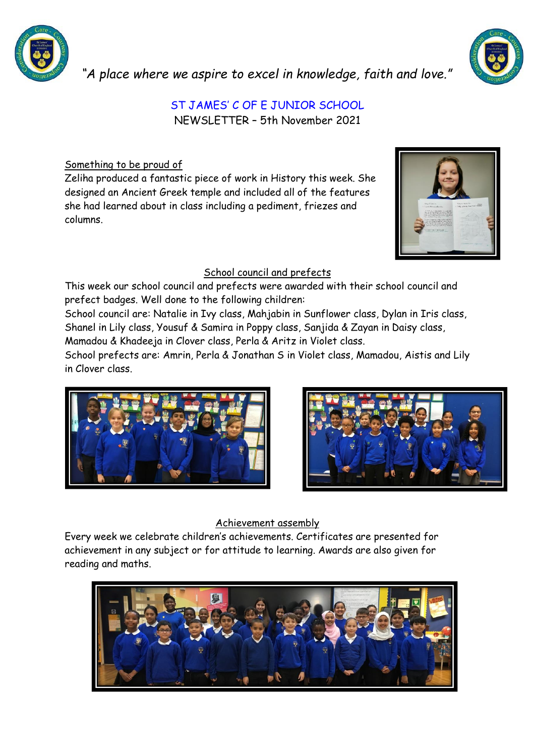

*"A place where we aspire to excel in knowledge, faith and love."*

# ST JAMES' C OF E JUNIOR SCHOOL

NEWSLETTER – 5th November 2021

Something to be proud of

Zeliha produced a fantastic piece of work in History this week. She designed an Ancient Greek temple and included all of the features she had learned about in class including a pediment, friezes and columns.

## School council and prefects

This week our school council and prefects were awarded with their school council and prefect badges. Well done to the following children:

School council are: Natalie in Ivy class, Mahjabin in Sunflower class, Dylan in Iris class, Shanel in Lily class, Yousuf & Samira in Poppy class, Sanjida & Zayan in Daisy class, Mamadou & Khadeeja in Clover class, Perla & Aritz in Violet class.

School prefects are: Amrin, Perla & Jonathan S in Violet class, Mamadou, Aistis and Lily in Clover class.





## Achievement assembly

Every week we celebrate children's achievements. Certificates are presented for achievement in any subject or for attitude to learning. Awards are also given for reading and maths.